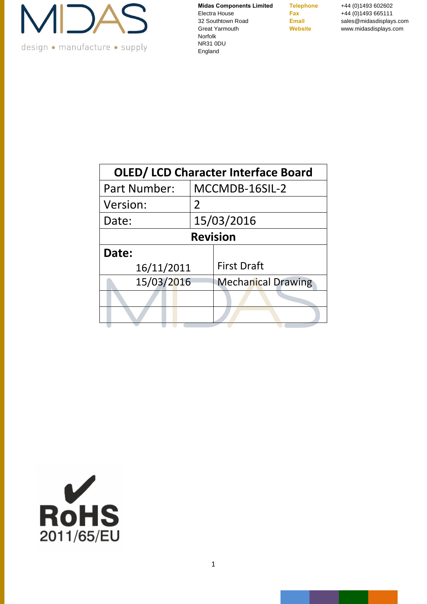

**Telephone** +44 (0)1493 602602 **Fax** +44 (0) 1493 665111<br> **Email** sales@midasdisplay **Email** sales@midasdisplays.com<br> **Website** www.midasdisplays.com **Website** www.midasdisplays.com

| <b>OLED/ LCD Character Interface Board</b> |                           |  |  |  |
|--------------------------------------------|---------------------------|--|--|--|
| Part Number:                               | MCCMDB-16SIL-2            |  |  |  |
| Version:                                   | 2                         |  |  |  |
| Date:                                      | 15/03/2016                |  |  |  |
| <b>Revision</b>                            |                           |  |  |  |
| Date:                                      |                           |  |  |  |
| 16/11/2011                                 | <b>First Draft</b>        |  |  |  |
| 15/03/2016                                 | <b>Mechanical Drawing</b> |  |  |  |
|                                            |                           |  |  |  |
|                                            |                           |  |  |  |

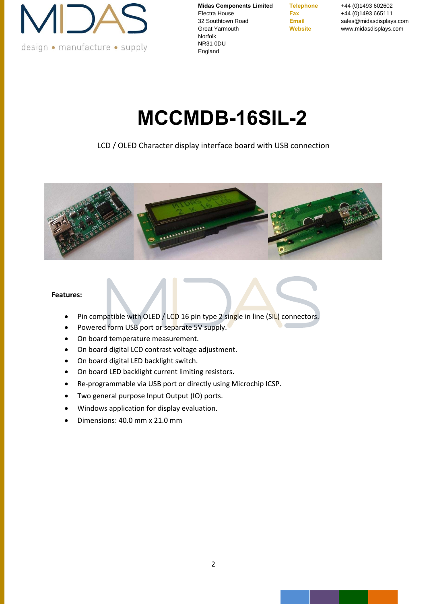

**Telephone** +44 (0)1493 602602 **Fax** +44 (0)1493 665111<br>**Email** sales@midasdisplay **Email** sales@midasdisplays.com<br>
Website www.midasdisplays.com **Website** www.midasdisplays.com

# **MCCMDB-16SIL-2**

LCD / OLED Character display interface board with USB connection



#### **Features:**

- Pin compatible with OLED / LCD 16 pin type 2 single in line (SIL) connectors.
- Powered form USB port or separate 5V supply.
- On board temperature measurement.
- On board digital LCD contrast voltage adjustment.
- On board digital LED backlight switch.
- On board LED backlight current limiting resistors.
- Re-programmable via USB port or directly using Microchip ICSP.
- Two general purpose Input Output (IO) ports.
- Windows application for display evaluation.
- Dimensions: 40.0 mm x 21.0 mm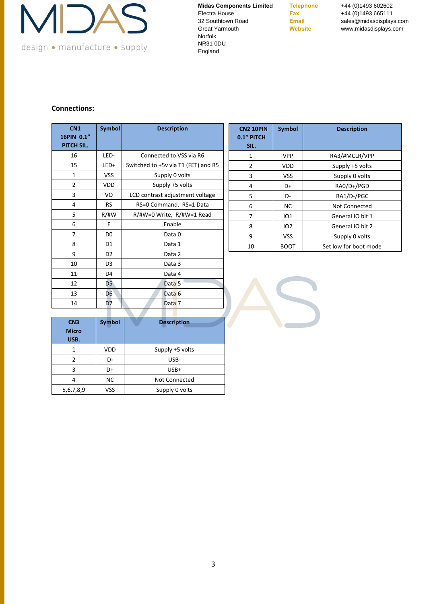

**Telephone** +44 (0)1493 602602 **Fax** +44 (0)1493 665111 **Email** sales@midasdisplays.com<br> **Website** www.midasdisplays.com **Website** www.midasdisplays.com

## **Connections:**

| CN1<br>16PIN 0.1"<br>PITCH SIL. | <b>Symbol</b>  | <b>Description</b>                  |  |  |  |  |  |
|---------------------------------|----------------|-------------------------------------|--|--|--|--|--|
| 16                              | LED-           | Connected to VSS via R6             |  |  |  |  |  |
| 15                              | LED+           | Switched to +5v via T1 (FET) and R5 |  |  |  |  |  |
| $\mathbf{1}$                    | <b>VSS</b>     | Supply 0 volts                      |  |  |  |  |  |
| 2                               | <b>VDD</b>     | Supply +5 volts                     |  |  |  |  |  |
| 3                               | VO             | LCD contrast adjustment voltage     |  |  |  |  |  |
| 4                               | <b>RS</b>      | RS=0 Command. RS=1 Data             |  |  |  |  |  |
| 5                               | $R/\text{\#}W$ | R/#W=0 Write, R/#W=1 Read           |  |  |  |  |  |
| 6                               | E              | Enable                              |  |  |  |  |  |
| 7                               | D <sub>0</sub> | Data 0                              |  |  |  |  |  |
| 8                               | D1             | Data 1                              |  |  |  |  |  |
| 9                               | D <sub>2</sub> | Data 2                              |  |  |  |  |  |
| 10                              | D3             | Data 3                              |  |  |  |  |  |
| 11                              | D4             | Data 4                              |  |  |  |  |  |
| 12                              | D <sub>5</sub> | Data 5                              |  |  |  |  |  |
| 13                              | D <sub>6</sub> | Data 6                              |  |  |  |  |  |
| 14                              | D7             | Data 7                              |  |  |  |  |  |
|                                 |                |                                     |  |  |  |  |  |

| <b>CN2 10PIN</b><br>0.1" PITCH<br>SIL. | <b>Symbol</b> | <b>Description</b>    |  |  |
|----------------------------------------|---------------|-----------------------|--|--|
| 1                                      | VPP           | RA3/#MCLR/VPP         |  |  |
| 2                                      | VDD           | Supply +5 volts       |  |  |
| 3                                      | <b>VSS</b>    | Supply 0 volts        |  |  |
| 4                                      | D+            | RA0/D+/PGD            |  |  |
| 5                                      | D-            | RA1/D-/PGC            |  |  |
| 6                                      | <b>NC</b>     | Not Connected         |  |  |
| 7                                      | 101           | General IO bit 1      |  |  |
| 8                                      | 102           | General IO bit 2      |  |  |
| 9                                      | <b>VSS</b>    | Supply 0 volts        |  |  |
| 10                                     | BOOT          | Set low for boot mode |  |  |



| CN <sub>3</sub><br><b>Micro</b><br>USB. | <b>Symbol</b> | <b>Description</b> |
|-----------------------------------------|---------------|--------------------|
| 1                                       | VDD           | Supply +5 volts    |
| 2                                       | D-            | USB-               |
| 3                                       | D+            | $USB+$             |
| 4                                       | <b>NC</b>     | Not Connected      |
| 5,6,7,8,9                               | VSS           | Supply 0 volts     |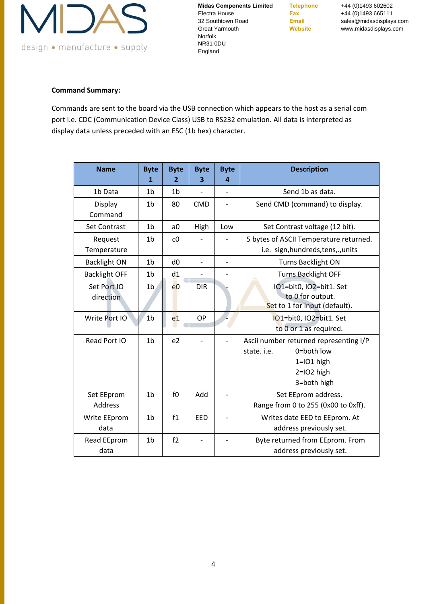

**Telephone** +44 (0)1493 602602 **Fax** +44 (0)1493 665111<br>**Email** sales@midasdisplay **Email** sales@midasdisplays.com<br>
Website www.midasdisplays.com **Website** www.midasdisplays.com

#### **Command Summary:**

Commands are sent to the board via the USB connection which appears to the host as a serial com port i.e. CDC (Communication Device Class) USB to RS232 emulation. All data is interpreted as display data unless preceded with an ESC (1b hex) character.

| <b>Name</b>                | <b>Byte</b><br>1 | <b>Byte</b><br>$\overline{2}$ | <b>Byte</b><br>3         | <b>Byte</b><br>4         | <b>Description</b>                                                                                                 |  |
|----------------------------|------------------|-------------------------------|--------------------------|--------------------------|--------------------------------------------------------------------------------------------------------------------|--|
| 1b Data                    | 1 <sub>b</sub>   | 1 <sub>b</sub>                | $\overline{a}$           | $\overline{\phantom{0}}$ | Send 1b as data.                                                                                                   |  |
| Display<br>Command         | 1 <sub>b</sub>   | 80                            | <b>CMD</b>               | $\overline{\phantom{0}}$ | Send CMD (command) to display.                                                                                     |  |
| <b>Set Contrast</b>        | 1 <sub>b</sub>   | a <sub>0</sub>                | High                     | Low                      | Set Contrast voltage (12 bit).                                                                                     |  |
| Request<br>Temperature     | 1 <sub>b</sub>   | c0                            |                          |                          | 5 bytes of ASCII Temperature returned.<br>i.e. sign, hundreds, tens,., units                                       |  |
| <b>Backlight ON</b>        | 1 <sub>b</sub>   | d <sub>0</sub>                | $\overline{a}$           |                          | Turns Backlight ON                                                                                                 |  |
| <b>Backlight OFF</b>       | 1 <sub>b</sub>   | d1                            | $\overline{\phantom{0}}$ | -                        | <b>Turns Backlight OFF</b>                                                                                         |  |
| Set Port IO<br>direction   | 1 <sub>b</sub>   | e <sub>0</sub>                | <b>DIR</b>               |                          | IO1=bit0, IO2=bit1. Set<br>to 0 for output.<br>Set to 1 for input (default).                                       |  |
| Write Port IO              | 1 <sub>b</sub>   | e1                            | OP                       |                          | IO1=bit0, IO2=bit1. Set<br>to 0 or 1 as required.                                                                  |  |
| Read Port IO               | 1 <sub>b</sub>   | e <sub>2</sub>                |                          |                          | Ascii number returned representing I/P<br>0=both low<br>state. i.e.<br>$1=101$ high<br>$2=102$ high<br>3=both high |  |
| Set EEprom<br>Address      | 1 <sub>b</sub>   | f <sub>0</sub>                | hhA                      |                          | Set EEprom address.<br>Range from 0 to 255 (0x00 to 0xff).                                                         |  |
| Write EEprom<br>data       | 1 <sub>b</sub>   | f1                            | <b>EED</b>               |                          | Writes date EED to EEprom. At<br>address previously set.                                                           |  |
| <b>Read EEprom</b><br>data | 1 <sub>b</sub>   | f2                            |                          |                          | Byte returned from EEprom. From<br>address previously set.                                                         |  |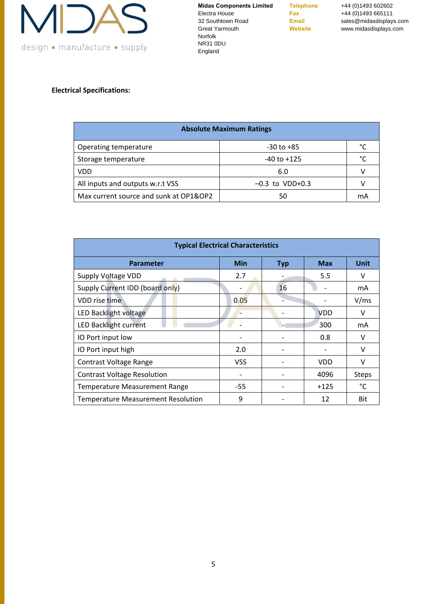

**Telephone** +44 (0)1493 602602 **Fax** +44 (0) 1493 665111<br> **Email** sales@midasdisplay **Email** sales<sup>@</sup>midasdisplays.com<br>
Website www.midasdisplays.com **Website** www.midasdisplays.com

### **Electrical Specifications:**

| <b>Absolute Maximum Ratings</b>        |                   |    |  |  |  |
|----------------------------------------|-------------------|----|--|--|--|
| Operating temperature                  | $-30$ to $+85$    |    |  |  |  |
| Storage temperature                    | $-40$ to $+125$   |    |  |  |  |
| <b>VDD</b>                             | 6.0               |    |  |  |  |
| All inputs and outputs w.r.t VSS       | $-0.3$ to VDD+0.3 |    |  |  |  |
| Max current source and sunk at OP1&OP2 |                   | mA |  |  |  |

| <b>Typical Electrical Characteristics</b> |            |            |            |              |  |  |  |  |
|-------------------------------------------|------------|------------|------------|--------------|--|--|--|--|
| <b>Parameter</b>                          | <b>Min</b> | <b>Typ</b> | <b>Max</b> | <b>Unit</b>  |  |  |  |  |
| Supply Voltage VDD                        | 2.7        |            | 5.5        | v            |  |  |  |  |
| Supply Current IDD (board only)           |            | 16         |            | mA           |  |  |  |  |
| VDD rise time                             | 0.05       |            |            | V/ms         |  |  |  |  |
| LED Backlight voltage                     |            |            | <b>VDD</b> | ν            |  |  |  |  |
| <b>LED Backlight current</b>              |            |            | 300        | mA           |  |  |  |  |
| IO Port input low                         |            |            | 0.8        | v            |  |  |  |  |
| IO Port input high                        | 2.0        |            |            | v            |  |  |  |  |
| Contrast Voltage Range                    | <b>VSS</b> |            | <b>VDD</b> | v            |  |  |  |  |
| <b>Contrast Voltage Resolution</b>        |            |            | 4096       | <b>Steps</b> |  |  |  |  |
| <b>Temperature Measurement Range</b>      | -55        |            | $+125$     | °C           |  |  |  |  |
| Temperature Measurement Resolution        | 9          |            | 12         | Bit          |  |  |  |  |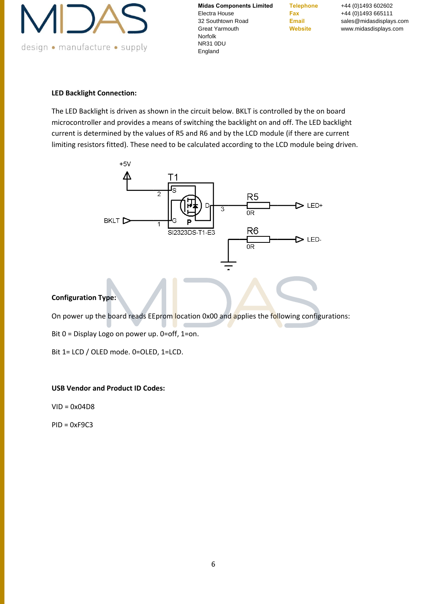

**Telephone** +44 (0)1493 602602 **Fax** +44 (0)1493 665111 **Email** sales@midasdisplays.com<br>
Website www.midasdisplays.com **Website** www.midasdisplays.com

#### **LED Backlight Connection:**

The LED Backlight is driven as shown in the circuit below. BKLT is controlled by the on board microcontroller and provides a means of switching the backlight on and off. The LED backlight current is determined by the values of R5 and R6 and by the LCD module (if there are current limiting resistors fitted). These need to be calculated according to the LCD module being driven.



#### **Configuration Type:**

On power up the board reads EEprom location 0x00 and applies the following configurations:

Bit 0 = Display Logo on power up. 0=off, 1=on.

Bit 1= LCD / OLED mode. 0=OLED, 1=LCD.

#### **USB Vendor and Product ID Codes:**

 $VID = 0x04D8$ 

 $PID = 0xF9C3$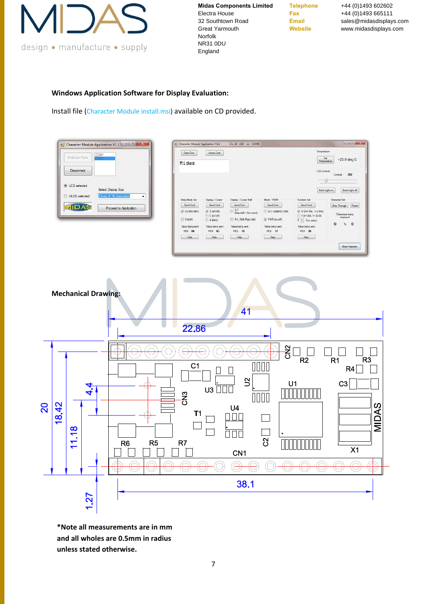

**Telephone** +44 (0)1493 602602 **Fax** +44 (0)1493 665111<br> **Email** sales@midasdisplay **Email** sales@midasdisplays.com<br>
Website www.midasdisplays.com **Website** www.midasdisplays.com

#### **Windows Application Software for Display Evaluation:**

Install file (Character Module install.msi) available on CD provided.



**\*Note all measurements are in mm and all wholes are 0.5mm in radius unless stated otherwise.**